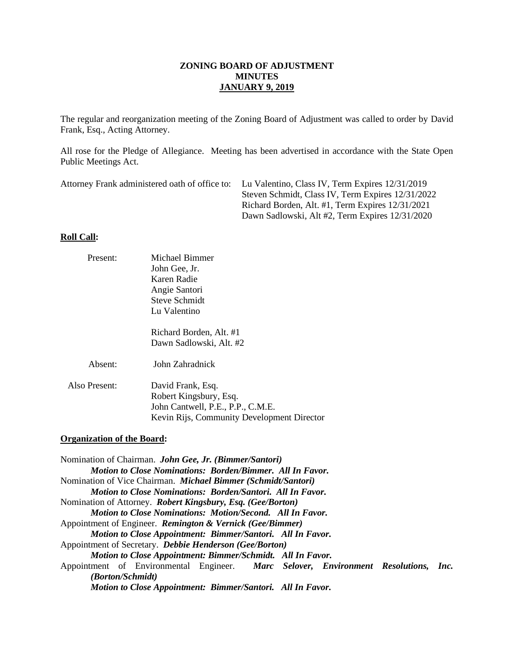The regular and reorganization meeting of the Zoning Board of Adjustment was called to order by David Frank, Esq., Acting Attorney.

All rose for the Pledge of Allegiance. Meeting has been advertised in accordance with the State Open Public Meetings Act.

| Attorney Frank administered oath of office to: Lu Valentino, Class IV, Term Expires 12/31/2019 |
|------------------------------------------------------------------------------------------------|
| Steven Schmidt, Class IV, Term Expires 12/31/2022                                              |
| Richard Borden, Alt. #1, Term Expires 12/31/2021                                               |
| Dawn Sadlowski, Alt #2, Term Expires 12/31/2020                                                |

# **Roll Call:**

| Present:                          | Michael Bimmer                                                                                                                  |      |
|-----------------------------------|---------------------------------------------------------------------------------------------------------------------------------|------|
|                                   | John Gee, Jr.                                                                                                                   |      |
|                                   | Karen Radie                                                                                                                     |      |
|                                   | Angie Santori                                                                                                                   |      |
|                                   | <b>Steve Schmidt</b>                                                                                                            |      |
|                                   | Lu Valentino                                                                                                                    |      |
|                                   | Richard Borden, Alt. #1                                                                                                         |      |
|                                   | Dawn Sadlowski, Alt. #2                                                                                                         |      |
| Absent:                           | John Zahradnick                                                                                                                 |      |
| Also Present:                     | David Frank, Esq.                                                                                                               |      |
|                                   | Robert Kingsbury, Esq.                                                                                                          |      |
|                                   | John Cantwell, P.E., P.P., C.M.E.                                                                                               |      |
|                                   | Kevin Rijs, Community Development Director                                                                                      |      |
| <b>Organization of the Board:</b> |                                                                                                                                 |      |
|                                   |                                                                                                                                 |      |
|                                   | Nomination of Chairman. John Gee, Jr. (Bimmer/Santori)                                                                          |      |
|                                   | <b>Motion to Close Nominations: Borden/Bimmer. All In Favor.</b>                                                                |      |
|                                   | Nomination of Vice Chairman. <i>Michael Bimmer (Schmidt/Santori)</i>                                                            |      |
|                                   | <b>Motion to Close Nominations: Borden/Santori. All In Favor.</b>                                                               |      |
|                                   | Nomination of Attorney. Robert Kingsbury, Esq. (Gee/Borton)<br><b>Motion to Close Nominations: Motion/Second. All In Favor.</b> |      |
|                                   | Appointment of Engineer. Remington & Vernick (Gee/Bimmer)                                                                       |      |
|                                   | Motion to Close Appointment: Bimmer/Santori. All In Favor.                                                                      |      |
|                                   | Appointment of Secretary. Debbie Henderson (Gee/Borton)                                                                         |      |
|                                   | Motion to Close Appointment: Bimmer/Schmidt. All In Favor.                                                                      |      |
|                                   | Appointment of Environmental Engineer. Marc Selover, Environment Resolutions,                                                   | Inc. |
| (Borton/Schmidt)                  |                                                                                                                                 |      |
|                                   | Motion to Close Appointment: Bimmer/Santori. All In Favor.                                                                      |      |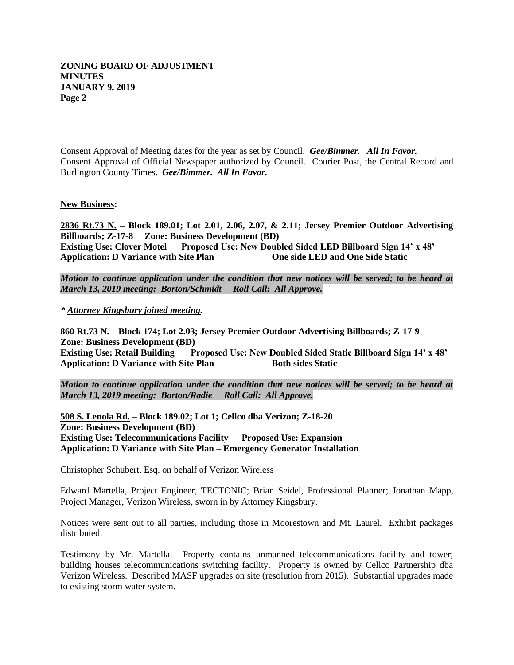Consent Approval of Meeting dates for the year as set by Council. *Gee/Bimmer. All In Favor.* Consent Approval of Official Newspaper authorized by Council. Courier Post, the Central Record and Burlington County Times. *Gee/Bimmer. All In Favor.* 

#### **New Business:**

**2836 Rt.73 N. – Block 189.01; Lot 2.01, 2.06, 2.07, & 2.11; Jersey Premier Outdoor Advertising Billboards; Z-17-8 Zone: Business Development (BD) Existing Use: Clover Motel Proposed Use: New Doubled Sided LED Billboard Sign 14' x 48' Application: D Variance with Site Plan** 

*Motion to continue application under the condition that new notices will be served; to be heard at March 13, 2019 meeting: Borton/Schmidt Roll Call: All Approve.*

*\* Attorney Kingsbury joined meeting.*

**860 Rt.73 N. – Block 174; Lot 2.03; Jersey Premier Outdoor Advertising Billboards; Z-17-9 Zone: Business Development (BD) Existing Use: Retail Building Proposed Use: New Doubled Sided Static Billboard Sign 14' x 48'** Application: D Variance with Site Plan Both sides Static

*Motion to continue application under the condition that new notices will be served; to be heard at March 13, 2019 meeting: Borton/Radie Roll Call: All Approve.*

**508 S. Lenola Rd. – Block 189.02; Lot 1; Cellco dba Verizon; Z-18-20 Zone: Business Development (BD) Existing Use: Telecommunications Facility Proposed Use: Expansion Application: D Variance with Site Plan – Emergency Generator Installation**

Christopher Schubert, Esq. on behalf of Verizon Wireless

Edward Martella, Project Engineer, TECTONIC; Brian Seidel, Professional Planner; Jonathan Mapp, Project Manager, Verizon Wireless, sworn in by Attorney Kingsbury.

Notices were sent out to all parties, including those in Moorestown and Mt. Laurel. Exhibit packages distributed.

Testimony by Mr. Martella. Property contains unmanned telecommunications facility and tower; building houses telecommunications switching facility. Property is owned by Cellco Partnership dba Verizon Wireless. Described MASF upgrades on site (resolution from 2015). Substantial upgrades made to existing storm water system.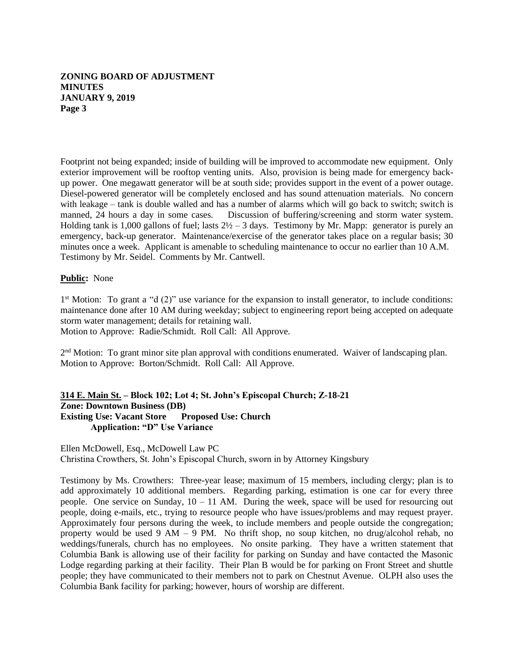Footprint not being expanded; inside of building will be improved to accommodate new equipment. Only exterior improvement will be rooftop venting units. Also, provision is being made for emergency backup power. One megawatt generator will be at south side; provides support in the event of a power outage. Diesel-powered generator will be completely enclosed and has sound attenuation materials. No concern with leakage – tank is double walled and has a number of alarms which will go back to switch; switch is manned, 24 hours a day in some cases. Discussion of buffering/screening and storm water system. Holding tank is 1,000 gallons of fuel; lasts  $2\frac{1}{2} - 3$  days. Testimony by Mr. Mapp: generator is purely an emergency, back-up generator. Maintenance/exercise of the generator takes place on a regular basis; 30 minutes once a week. Applicant is amenable to scheduling maintenance to occur no earlier than 10 A.M. Testimony by Mr. Seidel. Comments by Mr. Cantwell.

### **Public:** None

1<sup>st</sup> Motion: To grant a "d (2)" use variance for the expansion to install generator, to include conditions: maintenance done after 10 AM during weekday; subject to engineering report being accepted on adequate storm water management; details for retaining wall. Motion to Approve: Radie/Schmidt. Roll Call: All Approve.

2<sup>nd</sup> Motion: To grant minor site plan approval with conditions enumerated. Waiver of landscaping plan. Motion to Approve: Borton/Schmidt. Roll Call: All Approve.

### **314 E. Main St. – Block 102; Lot 4; St. John's Episcopal Church; Z-18-21 Zone: Downtown Business (DB) Existing Use: Vacant Store Proposed Use: Church Application: "D" Use Variance**

Ellen McDowell, Esq., McDowell Law PC Christina Crowthers, St. John's Episcopal Church, sworn in by Attorney Kingsbury

Testimony by Ms. Crowthers: Three-year lease; maximum of 15 members, including clergy; plan is to add approximately 10 additional members. Regarding parking, estimation is one car for every three people. One service on Sunday,  $10 - 11$  AM. During the week, space will be used for resourcing out people, doing e-mails, etc., trying to resource people who have issues/problems and may request prayer. Approximately four persons during the week, to include members and people outside the congregation; property would be used 9 AM – 9 PM. No thrift shop, no soup kitchen, no drug/alcohol rehab, no weddings/funerals, church has no employees. No onsite parking. They have a written statement that Columbia Bank is allowing use of their facility for parking on Sunday and have contacted the Masonic Lodge regarding parking at their facility. Their Plan B would be for parking on Front Street and shuttle people; they have communicated to their members not to park on Chestnut Avenue. OLPH also uses the Columbia Bank facility for parking; however, hours of worship are different.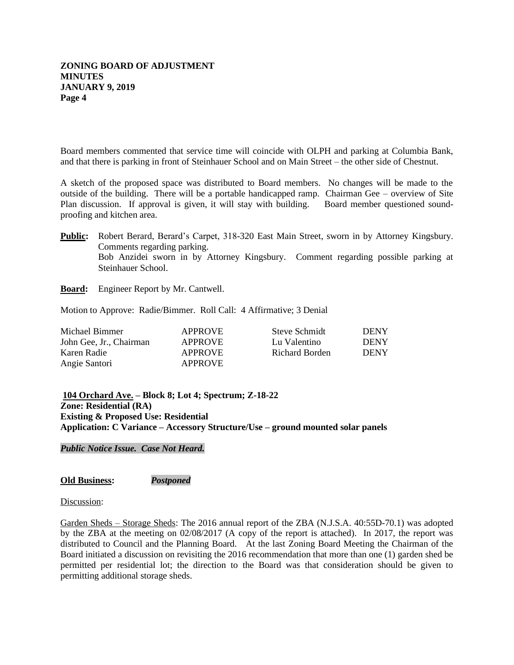Board members commented that service time will coincide with OLPH and parking at Columbia Bank, and that there is parking in front of Steinhauer School and on Main Street – the other side of Chestnut.

A sketch of the proposed space was distributed to Board members. No changes will be made to the outside of the building. There will be a portable handicapped ramp. Chairman Gee – overview of Site Plan discussion. If approval is given, it will stay with building. Board member questioned soundproofing and kitchen area.

**Public:** Robert Berard, Berard's Carpet, 318-320 East Main Street, sworn in by Attorney Kingsbury. Comments regarding parking. Bob Anzidei sworn in by Attorney Kingsbury. Comment regarding possible parking at Steinhauer School.

**Board:** Engineer Report by Mr. Cantwell.

Motion to Approve: Radie/Bimmer. Roll Call: 4 Affirmative; 3 Denial

| Michael Bimmer          | <b>APPROVE</b> | Steve Schmidt  | <b>DENY</b> |
|-------------------------|----------------|----------------|-------------|
| John Gee. Jr., Chairman | <b>APPROVE</b> | Lu Valentino   | <b>DENY</b> |
| Karen Radie             | <b>APPROVE</b> | Richard Borden | <b>DENY</b> |
| Angie Santori           | <b>APPROVE</b> |                |             |

**104 Orchard Ave. – Block 8; Lot 4; Spectrum; Z-18-22 Zone: Residential (RA) Existing & Proposed Use: Residential Application: C Variance – Accessory Structure/Use – ground mounted solar panels**

*Public Notice Issue. Case Not Heard.*

**Old Business:** *Postponed*

Discussion:

Garden Sheds – Storage Sheds: The 2016 annual report of the ZBA (N.J.S.A. 40:55D-70.1) was adopted by the ZBA at the meeting on 02/08/2017 (A copy of the report is attached). In 2017, the report was distributed to Council and the Planning Board. At the last Zoning Board Meeting the Chairman of the Board initiated a discussion on revisiting the 2016 recommendation that more than one (1) garden shed be permitted per residential lot; the direction to the Board was that consideration should be given to permitting additional storage sheds.